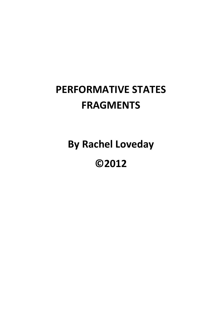# **PERFORMATIVE STATES FRAGMENTS**

**By Rachel Loveday**

**©2012**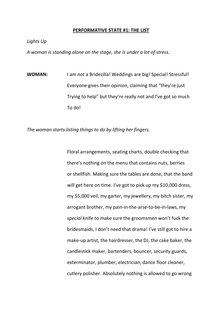#### **PERFORMATIVE STATE #1: THE LIST**

*Lights Up*

*A woman is standing alone on the stage, she is under a lot of stress.*

**WOMAN:** I am *not* a Bridezilla! Weddings are big! Special! Stressful! Everyone gives their opinion, claiming that "they're just Trying to help" but they're really not and I've got so much To do!

*The woman starts listing things to do by lifting her fingers.*

Floral arrangements, seating charts, double checking that there's nothing on the menu that contains nuts, berries or shellfish. Making sure the tables are done, that the band will get here on time. I've got to pick up my \$10,000 dress, my \$5,000 veil, my garter, my jewellery, my bitch sister, my arrogant brother, my pain-in-the-arse-to-be-in-laws, my *special* knife to make sure the groomsmen won't fuck the bridesmaids, I don't need that drama! I've still got to hire a make-up artist, the hairdresser, the DJ, the cake baker, the candlestick maker, bartenders, bouncer, security guards, exterminator, plumber, electrician, dance floor cleaner, cutlery polisher. Absolutely nothing is allowed to go wrong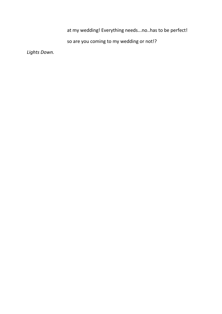at my wedding! Everything needs...no..has to be perfect!

so are you coming to my wedding or not!?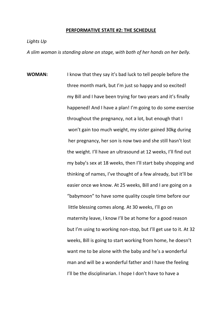#### **PERFORMATIVE STATE #2: THE SCHEDULE**

*Lights Up*

*A slim woman is standing alone on stage, with both of her hands on her belly.*

**WOMAN:** I know that they say it's bad luck to tell people before the three month mark, but I'm just so happy and so excited! my Bill and I have been trying for two years and it's finally happened! And I have a plan! I'm going to do some exercise throughout the pregnancy, not a lot, but enough that I won't gain too much weight, my sister gained 30kg during her pregnancy, her son is now two and she still hasn't lost the weight. I'll have an ultrasound at 12 weeks, I'll find out my baby's sex at 18 weeks, then I'll start baby shopping and thinking of names, I've thought of a few already, but it'll be easier once we know. At 25 weeks, Bill and I are going on a "babymoon" to have some quality couple time before our little blessing comes along. At 30 weeks, I'll go on maternity leave, I know I'll be at home for a good reason but I'm using to working non-stop, but I'll get use to it. At 32 weeks, Bill is going to start working from home, he doesn't want me to be alone with the baby and he's a wonderful man and will be a wonderful father and I have the feeling I'll be the disciplinarian. I hope I don't have to have a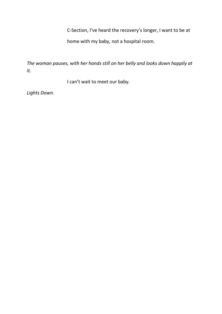C-Section, I've heard the recovery's longer, I want to be at

home with my baby, not a hospital room.

*The woman pauses, with her hands still on her belly and looks down happily at it.*

I can't wait to meet our baby.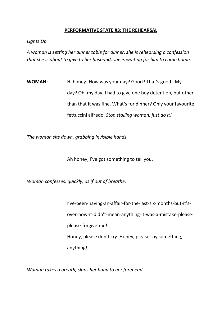# **PERFORMATIVE STATE #3: THE REHEARSAL**

*Lights Up*

*A woman is setting her dinner table for dinner, she is rehearsing a confession that she is about to give to her husband, she is waiting for him to come home.*

**WOMAN:** Hi honey! How was your day? Good? That's good. My day? Oh, my day, I had to give one boy detention, but other than that it was fine. What's for dinner? Only your favourite fettuccini alfredo. *Stop stalling woman, just do it!* 

*The woman sits down, grabbing invisible hands.*

Ah honey, I've got something to tell you.

*Woman confesses, quickly, as if out of breathe.*

I've-been-having-an-affair-for-the-last-six-months-but-it'sover-now-it-didn't-mean-anything-it-was-a-mistake-pleaseplease-forgive-me! Honey, please don't cry. Honey, please say something, anything!

*Woman takes a breath, slaps her hand to her forehead.*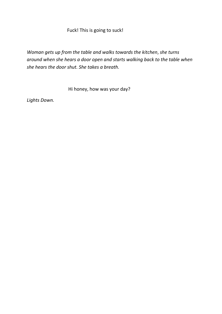# Fuck! This is going to suck!

*Woman gets up from the table and walks towards the kitchen*, *she turns around when she hears a door open and starts walking back to the table when she hears the door shut. She takes a breath.*

Hi honey, how was your day?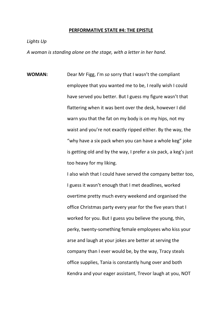#### **PERFORMATIVE STATE #4: THE EPISTLE**

*Lights Up*

*A woman is standing alone on the stage, with a letter in her hand.*

**WOMAN:** Dear Mr Figg, I'm *so* sorry that I wasn't the compliant employee that you wanted me to be, I really wish I could have served you better. But I guess my figure wasn't that flattering when it was bent over the desk, however I did warn you that the fat on my body is on my hips, not my waist and you're not exactly ripped either. By the way, the "why have a six pack when you can have a whole keg" joke is getting old and by the way, I prefer a six pack, a keg's just too heavy for my liking.

> I also wish that I could have served the company better too, I guess it wasn't enough that I met deadlines, worked overtime pretty much every weekend and organised the office Christmas party every year for the five years that I worked for you. But I guess you believe the young, thin, perky, twenty-something female employees who kiss your arse and laugh at your jokes are better at serving the company than I ever would be, by the way, Tracy steals office supplies, Tania is constantly hung over and both Kendra and your eager assistant, Trevor laugh at you, NOT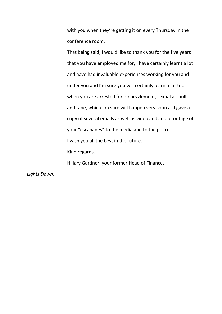with you when they're getting it on every Thursday in the conference room.

That being said, I would like to thank you for the five years that you have employed me for, I have certainly learnt a lot and have had invaluable experiences working for you and under you and I'm sure you will certainly learn a lot too, when you are arrested for embezzlement, sexual assault and rape, which I'm sure will happen very soon as I gave a copy of several emails as well as video and audio footage of your "escapades" to the media and to the police. I wish you all the best in the future. Kind regards.

Hillary Gardner, your former Head of Finance.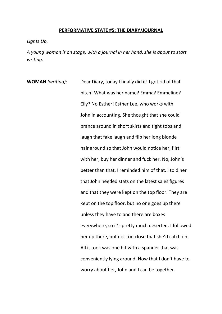## **PERFORMATIVE STATE #5: THE DIARY/JOURNAL**

*Lights Up.*

*A young woman is on stage, with a journal in her hand, she is about to start writing.*

**WOMAN** *(writing)*: Dear Diary, today I finally did it! I got rid of that bitch! What was her name? Emma? Emmeline? Elly? No Esther! Esther Lee, who works with John in accounting. She thought that she could prance around in short skirts and tight tops and laugh that fake laugh and flip her long blonde hair around so that John would notice her, flirt with her, buy her dinner and fuck her. No, John's better than that, I reminded him of that. I told her that John needed stats on the latest sales figures and that they were kept on the top floor. They are kept on the top floor, but no one goes up there unless they have to and there are boxes everywhere, so it's pretty much deserted. I followed her up there, but not too close that she'd catch on. All it took was one hit with a spanner that was conveniently lying around. Now that I don't have to worry about her, John and I can be together.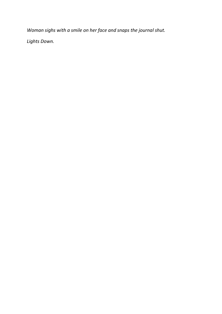*Woman sighs with a smile on her face and snaps the journal shut.*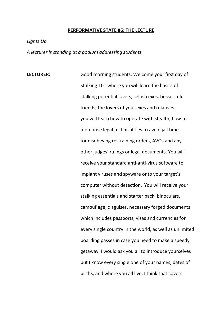#### **PERFORMATIVE STATE #6: THE LECTURE**

*Lights Up*

*A lecturer is standing at a podium addressing students.*

**LECTURER:** Good morning students. Welcome your first day of Stalking 101 where you will learn the basics of stalking potential lovers, selfish exes, bosses, old friends, the lovers of your exes and relatives. you will learn how to operate with stealth, how to memorise legal technicalities to avoid jail time for disobeying restraining orders, AVOs and any other judges' rulings or legal documents. You will receive your standard anti-anti-virus software to implant viruses and spyware onto your target's computer without detection. You will receive your stalking essentials and starter pack: binoculars, camouflage, disguises, necessary forged documents which includes passports, visas and currencies for every single country in the world, as well as unlimited boarding passes in case you need to make a speedy getaway. I would ask you all to introduce yourselves but I know every single one of your names, dates of births, and where you all live. I think that covers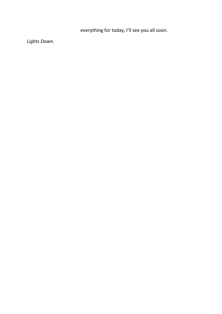everything for today, I'll see you all soon.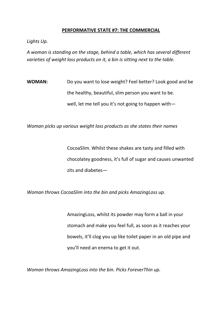# **PERFORMATIVE STATE #7: THE COMMERCIAL**

*Lights Up.*

*A woman is standing on the stage, behind a table, which has several different varieties of weight loss products on it, a bin is sitting next to the table.*

**WOMAN:** Do you want to lose weight? Feel better? Look good and be the healthy, beautiful, slim person you want to be. well, let me tell you it's not going to happen with—

*Woman picks up various weight loss products as she states their names*

CocoaSlim. Whilst these shakes are tasty and filled with chocolatey goodness, it's full of sugar and causes unwanted zits and diabetes—

*Woman throws CocoaSlim into the bin and picks AmazingLoss up.*

AmazingLoss, whilst its powder may form a ball in your stomach and make you feel full, as soon as it reaches your bowels, it'll clog you up like toilet paper in an old pipe and you'll need an enema to get it out.

*Woman throws AmazingLoss into the bin. Picks ForeverThin up.*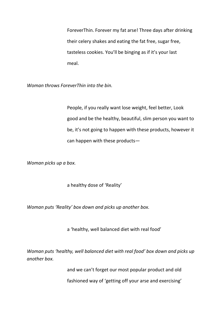ForeverThin. Forever my fat arse! Three days after drinking their celery shakes and eating the fat free, sugar free, tasteless cookies. You'll be binging as if it's your last meal.

*Woman throws ForeverThin into the bin.*

People, if you really want lose weight, feel better, Look good and be the healthy, beautiful, slim person you want to be, it's not going to happen with these products, however it can happen with these products—

*Woman picks up a box.*

a healthy dose of 'Reality'

*Woman puts 'Reality' box down and picks up another box.*

a 'healthy, well balanced diet with real food'

*Woman puts 'healthy, well balanced diet with real food' box down and picks up another box.*

and we can't forget our most popular product and old

fashioned way of 'getting off your arse and exercising'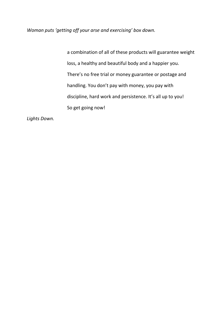*Woman puts 'getting off your arse and exercising' box down.*

a combination of all of these products will guarantee weight loss, a healthy and beautiful body and a happier you. There's no free trial or money guarantee or postage and handling. You don't pay with money, you pay with discipline, hard work and persistence. It's all up to you! So get going now!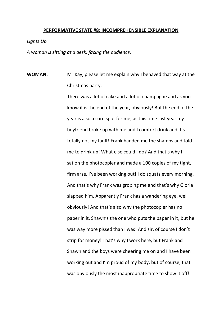#### **PERFORMATIVE STATE #8: INCOMPREHENSIBLE EXPLANATION**

#### *Lights Up*

*A woman is sitting at a desk, facing the audience.*

**WOMAN:** Mr Kay, please let me explain why I behaved that way at the Christmas party.

> There was a lot of cake and a lot of champagne and as you know it is the end of the year, obviously! But the end of the year is also a sore spot for me, as this time last year my boyfriend broke up with me and I comfort drink and it's totally not my fault! Frank handed me the shamps and told me to drink up! What else could I do? And that's why I sat on the photocopier and made a 100 copies of my tight, firm arse. I've been working out! I do squats every morning. And that's why Frank was groping me and that's why Gloria slapped him. Apparently Frank has a wandering eye, well obviously! And that's also why the photocopier has no paper in it, Shawn's the one who puts the paper in it, but he was way more pissed than I was! And sir, of course I don't strip for money! That's why I work here, but Frank and Shawn and the boys were cheering me on and I have been working out and I'm proud of my body, but of course, that was obviously the most inappropriate time to show it off!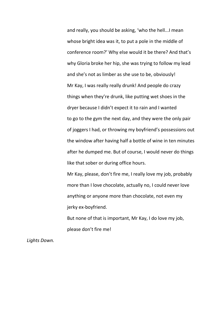and really, you should be asking, 'who the hell...I mean whose bright idea was it, to put a pole in the middle of conference room?' Why else would it be there? And that's why Gloria broke her hip, she was trying to follow my lead and she's not as limber as she use to be, obviously! Mr Kay, I was really really drunk! And people do crazy things when they're drunk, like putting wet shoes in the dryer because I didn't expect it to rain and I wanted to go to the gym the next day, and they were the only pair of joggers I had, or throwing my boyfriend's possessions out the window after having half a bottle of wine in ten minutes after he dumped me. But of course, I would never do things like that sober or during office hours.

Mr Kay, please, don't fire me, I really love my job, probably more than I love chocolate, actually no, I could never love anything or anyone more than chocolate, not even my jerky ex-boyfriend.

But none of that is important, Mr Kay, I do love my job, please don't fire me!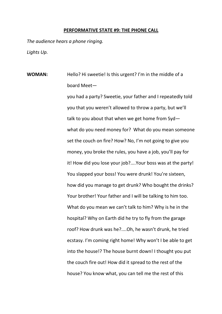#### **PERFORMATIVE STATE #9: THE PHONE CALL**

*The audience hears a phone ringing. Lights Up.*

**WOMAN:** Hello? Hi sweetie! Is this urgent? I'm in the middle of a board Meet—

> you had a party? Sweetie, your father and I repeatedly told you that you weren't allowed to throw a party, but we'll talk to you about that when we get home from Syd what do you need money for? What do you mean someone set the couch on fire? How? No, I'm not going to give you money, you broke the rules, you have a job, you'll pay for it! How did you lose your job?....Your boss was at the party! You slapped your boss! You were drunk! You're sixteen, how did you manage to get drunk? Who bought the drinks? Your brother! Your father and I will be talking to him too. What do you mean we can't talk to him? Why is he in the hospital? Why on Earth did he try to fly from the garage roof? How drunk was he?....Oh, he wasn't drunk, he tried ecstasy. I'm coming right home! Why won't I be able to get into the house!? The house burnt down! I thought you put the couch fire out! How did it spread to the rest of the house? You know what, you can tell me the rest of this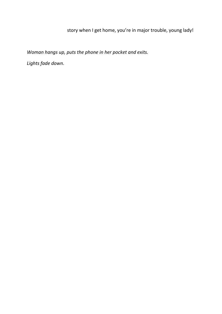# story when I get home, you're in major trouble, young lady!

*Woman hangs up, puts the phone in her pocket and exits.* 

*Lights fade down.*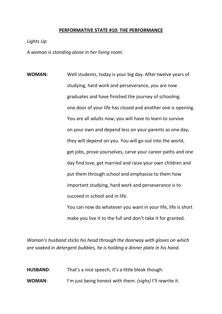#### **PERFORMATIVE STATE #10: THE PERFORMANCE**

#### *Lights Up*

*A woman is standing alone in her living room.*

**WOMAN:** Well students, today is your big day. After twelve years of studying, hard work and perseverance, you are now graduates and have finished the journey of schooling. one door of your life has closed and another one is opening. You are all adults now, you will have to learn to survive on your own and depend less on your parents as one day, they will depend on you. You will go out into the world, get jobs, prove yourselves, carve your career paths and one day find love, get married and raise your own children and put them through school and emphasise to them how important studying, hard work and perseverance is to succeed in school and in life.

> You can now do whatever you want in your life, life is short make you live it to the full and don't take it for granted.

*Woman's husband sticks his head through the doorway with gloves on which are soaked in detergent bubbles, he is holding a dinner plate in his hand.*

**HUSBAND**: That's a nice speech, it's a little bleak though. **WOMAN**: I'm just being honest with them. *(sighs)* I'll rewrite it.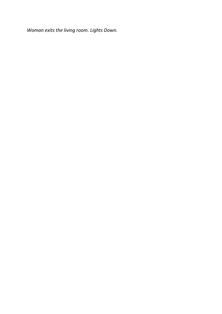*Woman exits the living room. Lights Down.*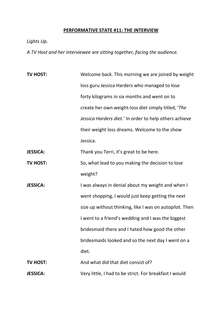## **PERFORMATIVE STATE #11: THE INTERVIEW**

*Lights Up.*

*A TV Host and her interviewee are sitting together, facing the audience.*

**TV HOST:** Welcome back. This morning we are joined by weight loss guru Jessica Harders who managed to lose forty kilograms in six months and went on to create her own weight-loss diet simply titled, '*The Jessica Harders diet.'* In order to help others achieve their weight loss dreams. Welcome to the show Jessica.

**JESSICA:** Thank you Terri, it's great to be here.

- **TV HOST:** So, what lead to you making the decision to lose weight?
- **JESSICA:** I was always in denial about my weight and when I went shopping, I would just keep getting the next size up without thinking, like I was on autopilot. Then I went to a friend's wedding and I was the biggest bridesmaid there and I hated how good the other bridesmaids looked and so the next day I went on a diet.

**TV HOST:** And what did that diet consist of? **JESSICA:** Very little, I had to be strict. For breakfast I would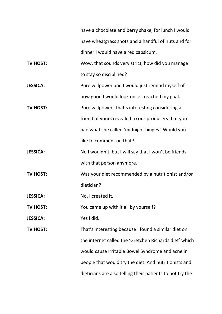have a chocolate and berry shake, for lunch I would have wheatgrass shots and a handful of nuts and for dinner I would have a red capsicum.

**TV HOST:** Wow, that sounds very strict, how did you manage to stay so disciplined?

**JESSICA:** Pure willpower and I would just remind myself of how good I would look once I reached my goal.

**TV HOST:** Pure willpower. That's interesting considering a friend of yours revealed to our producers that you had what she called 'midnight binges.' Would you like to comment on that?

**JESSICA:** No I wouldn't, but I will say that I won't be friends with that person anymore.

**TV HOST:** Was your diet recommended by a nutritionist and/or dietician?

**JESSICA:** No, I created it.

**TV HOST:** You came up with it all by yourself?

**JESSICA:** Yes I did.

**TV HOST:** That's interesting because I found a similar diet on the internet called the 'Gretchen Richards diet' which would cause Irritable Bowel Syndrome and acne in people that would try the diet. And nutritionists and dieticians are also telling their patients to not try the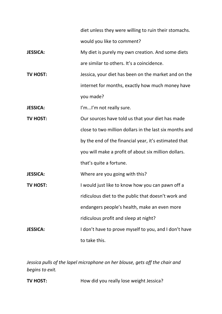diet unless they were willing to ruin their stomachs. would you like to comment?

**JESSICA:** My diet is purely my own creation. And some diets are similar to others. It's a coincidence.

**TV HOST:** Jessica, your diet has been on the market and on the internet for months, exactly how much money have you made?

**JESSICA:** I'm...I'm not really sure.

**TV HOST:** Our sources have told us that your diet has made close to two million dollars in the last six months and by the end of the financial year, it's estimated that you will make a profit of about six million dollars. that's quite a fortune.

**JESSICA:** Where are you going with this?

**TV HOST:** I would just like to know how you can pawn off a ridiculous diet to the public that doesn't work and endangers people's health, make an even more ridiculous profit and sleep at night? **JESSICA:** I don't have to prove myself to you, and I don't have

to take this.

*Jessica pulls of the lapel microphone on her blouse, gets off the chair and begins to exit.*

**TV HOST:** How did you really lose weight Jessica?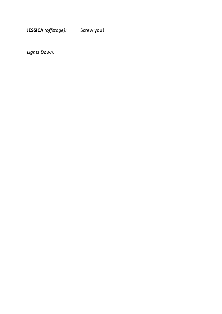**JESSICA** *(offstage):* Screw you!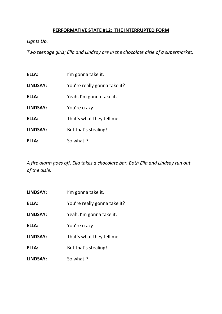# **PERFORMATIVE STATE #12: THE INTERRUPTED FORM**

# *Lights Up.*

*Two teenage girls; Ella and Lindsay are in the chocolate aisle of a supermarket.*

| ELLA:           | I'm gonna take it.           |
|-----------------|------------------------------|
| <b>LINDSAY:</b> | You're really gonna take it? |
| ELLA:           | Yeah, I'm gonna take it.     |
| <b>LINDSAY:</b> | You're crazy!                |
| ELLA:           | That's what they tell me.    |
| <b>LINDSAY:</b> | But that's stealing!         |
| ELLA:           | So what!?                    |

*A fire alarm goes off, Ella takes a chocolate bar. Both Ella and Lindsay run out of the aisle.*

**LINDSAY:** I'm gonna take it. ELLA: You're really gonna take it? **LINDSAY:** Yeah, I'm gonna take it. **ELLA:** You're crazy! **LINDSAY:** That's what they tell me. **ELLA:** But that's stealing! **LINDSAY:** So what!?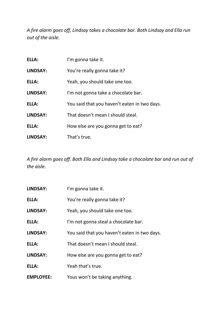*A fire alarm goes off, Lindsay takes a chocolate bar. Both Lindsay and Ella run out of the aisle.*

| ELLA:           | I'm gonna take it.                           |
|-----------------|----------------------------------------------|
| <b>LINDSAY:</b> | You're really gonna take it?                 |
| ELLA:           | Yeah, you should take one too.               |
| <b>LINDSAY:</b> | I'm not gonna take a chocolate bar.          |
| ELLA:           | You said that you haven't eaten in two days. |
| <b>LINDSAY:</b> | That doesn't mean I should steal.            |
| ELLA:           | How else are you gonna get to eat?           |
| <b>LINDSAY:</b> | That's true.                                 |

*A fire alarm goes off. Both Ella and Lindsay take a chocolate bar and run out of the aisle.*

| <b>LINDSAY:</b>  | I'm gonna take it.                           |
|------------------|----------------------------------------------|
| ELLA:            | You're really gonna take it?                 |
| <b>LINDSAY:</b>  | Yeah, you should take one too.               |
| ELLA:            | I'm not gonna steal a chocolate bar.         |
| <b>LINDSAY:</b>  | You said that you haven't eaten in two days. |
| ELLA:            | That doesn't mean I should steal.            |
| <b>LINDSAY:</b>  | How else are you gonna get to eat?           |
| ELLA:            | Yeah that's true.                            |
| <b>EMPLOYEE:</b> | Yous won't be taking anything.               |